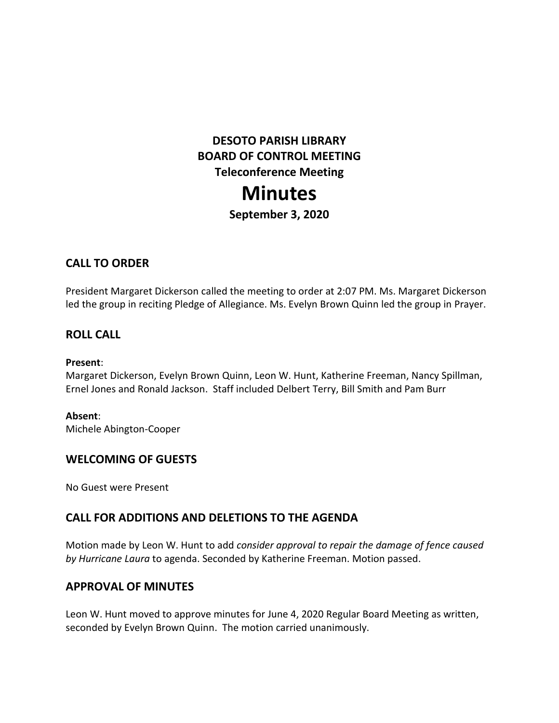# **DESOTO PARISH LIBRARY BOARD OF CONTROL MEETING Teleconference Meeting Minutes**

**September 3, 2020**

# **CALL TO ORDER**

President Margaret Dickerson called the meeting to order at 2:07 PM. Ms. Margaret Dickerson led the group in reciting Pledge of Allegiance. Ms. Evelyn Brown Quinn led the group in Prayer.

#### **ROLL CALL**

#### **Present**:

Margaret Dickerson, Evelyn Brown Quinn, Leon W. Hunt, Katherine Freeman, Nancy Spillman, Ernel Jones and Ronald Jackson. Staff included Delbert Terry, Bill Smith and Pam Burr

#### **Absent**:

Michele Abington-Cooper

### **WELCOMING OF GUESTS**

No Guest were Present

### **CALL FOR ADDITIONS AND DELETIONS TO THE AGENDA**

Motion made by Leon W. Hunt to add *consider approval to repair the damage of fence caused by Hurricane Laura* to agenda. Seconded by Katherine Freeman. Motion passed.

### **APPROVAL OF MINUTES**

Leon W. Hunt moved to approve minutes for June 4, 2020 Regular Board Meeting as written, seconded by Evelyn Brown Quinn. The motion carried unanimously.